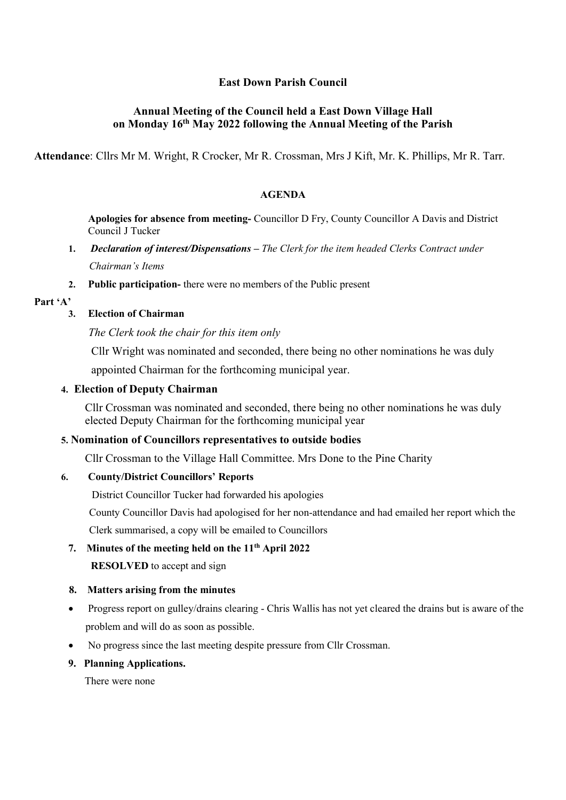# East Down Parish Council

# Annual Meeting of the Council held a East Down Village Hall on Monday 16th May 2022 following the Annual Meeting of the Parish

Attendance: Cllrs Mr M. Wright, R Crocker, Mr R. Crossman, Mrs J Kift, Mr. K. Phillips, Mr R. Tarr.

#### AGENDA

Apologies for absence from meeting- Councillor D Fry, County Councillor A Davis and District Council J Tucker

- 1. Declaration of interest/Dispensations The Clerk for the item headed Clerks Contract under Chairman's Items
- 2. Public participation- there were no members of the Public present
- Part 'A'

#### 3. Election of Chairman

The Clerk took the chair for this item only

Cllr Wright was nominated and seconded, there being no other nominations he was duly

appointed Chairman for the forthcoming municipal year.

### 4. Election of Deputy Chairman

Cllr Crossman was nominated and seconded, there being no other nominations he was duly elected Deputy Chairman for the forthcoming municipal year

# 5. Nomination of Councillors representatives to outside bodies

Cllr Crossman to the Village Hall Committee. Mrs Done to the Pine Charity

#### 6. County/District Councillors' Reports

District Councillor Tucker had forwarded his apologies

 County Councillor Davis had apologised for her non-attendance and had emailed her report which the Clerk summarised, a copy will be emailed to Councillors

7. Minutes of the meeting held on the 11<sup>th</sup> April 2022

RESOLVED to accept and sign

#### 8. Matters arising from the minutes

- Progress report on gulley/drains clearing Chris Wallis has not yet cleared the drains but is aware of the problem and will do as soon as possible.
- No progress since the last meeting despite pressure from Cllr Crossman.
- 9. Planning Applications.

There were none